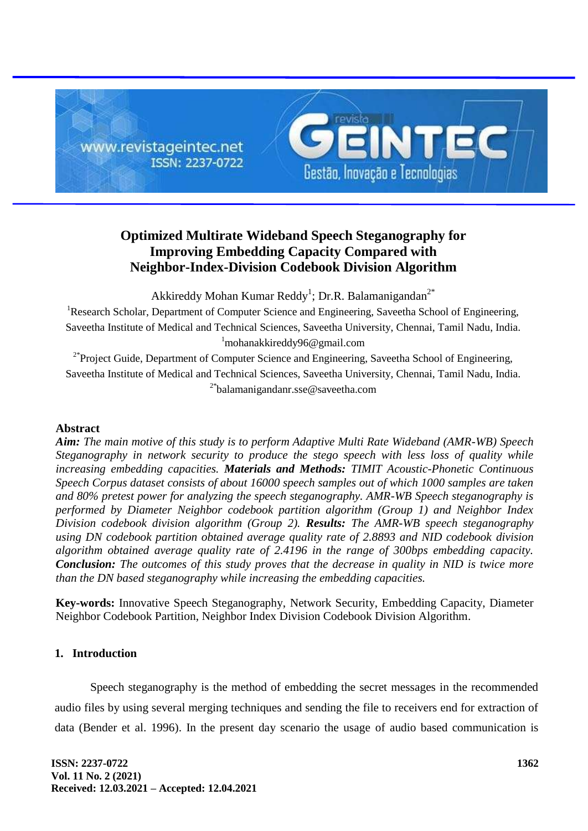

# **Optimized Multirate Wideband Speech Steganography for Improving Embedding Capacity Compared with Neighbor-Index-Division Codebook Division Algorithm**

Akkireddy Mohan Kumar Reddy<sup>1</sup>; Dr.R. Balamanigandan<sup>2\*</sup>

<sup>1</sup>Research Scholar, Department of Computer Science and Engineering, Saveetha School of Engineering, Saveetha Institute of Medical and Technical Sciences, Saveetha University, Chennai, Tamil Nadu, India.  $1$ mohanakkireddy96@gmail.com

<sup>2\*</sup>Project Guide, Department of Computer Science and Engineering, Saveetha School of Engineering, Saveetha Institute of Medical and Technical Sciences, Saveetha University, Chennai, Tamil Nadu, India. 2\*balamanigandanr.sse@saveetha.com

## **Abstract**

*Aim: The main motive of this study is to perform Adaptive Multi Rate Wideband (AMR-WB) Speech Steganography in network security to produce the stego speech with less loss of quality while increasing embedding capacities. Materials and Methods: TIMIT Acoustic-Phonetic Continuous Speech Corpus dataset consists of about 16000 speech samples out of which 1000 samples are taken and 80% pretest power for analyzing the speech steganography. AMR-WB Speech steganography is performed by Diameter Neighbor codebook partition algorithm (Group 1) and Neighbor Index Division codebook division algorithm (Group 2). Results: The AMR-WB speech steganography using DN codebook partition obtained average quality rate of 2.8893 and NID codebook division algorithm obtained average quality rate of 2.4196 in the range of 300bps embedding capacity. Conclusion: The outcomes of this study proves that the decrease in quality in NID is twice more than the DN based steganography while increasing the embedding capacities.*

**Key-words:** Innovative Speech Steganography, Network Security, Embedding Capacity, Diameter Neighbor Codebook Partition, Neighbor Index Division Codebook Division Algorithm.

## **1. Introduction**

Speech steganography is the method of embedding the secret messages in the recommended audio files by using several merging techniques and sending the file to receivers end for extraction of data (Bender et al. 1996). In the present day scenario the usage of audio based communication is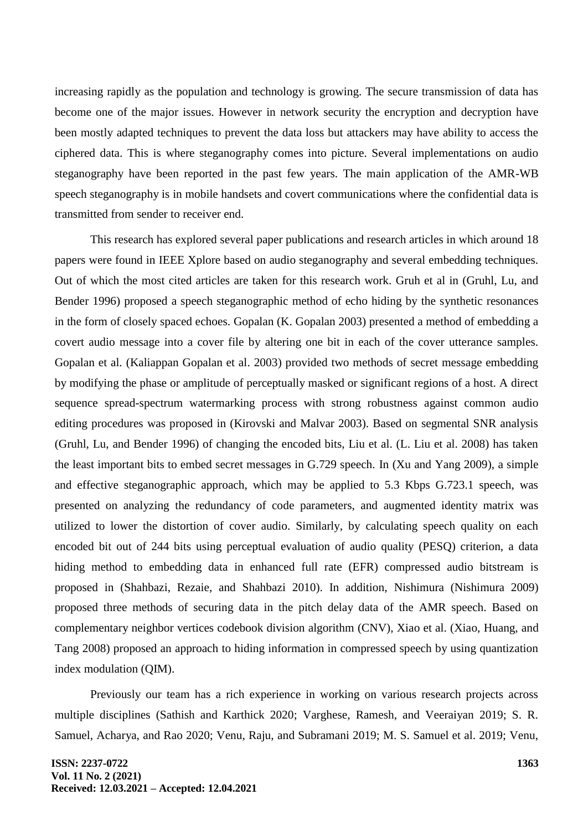increasing rapidly as the population and technology is growing. The secure transmission of data has become one of the major issues. However in network security the encryption and decryption have been mostly adapted techniques to prevent the data loss but attackers may have ability to access the ciphered data. This is where steganography comes into picture. Several implementations on audio steganography have been reported in the past few years. The main application of the AMR-WB speech steganography is in mobile handsets and covert communications where the confidential data is transmitted from sender to receiver end.

This research has explored several paper publications and research articles in which around 18 papers were found in IEEE Xplore based on audio steganography and several embedding techniques. Out of which the most cited articles are taken for this research work. Gruh et al in (Gruhl, Lu, and Bender 1996) proposed a speech steganographic method of echo hiding by the synthetic resonances in the form of closely spaced echoes. Gopalan (K. Gopalan 2003) presented a method of embedding a covert audio message into a cover file by altering one bit in each of the cover utterance samples. Gopalan et al. (Kaliappan Gopalan et al. 2003) provided two methods of secret message embedding by modifying the phase or amplitude of perceptually masked or significant regions of a host. A direct sequence spread-spectrum watermarking process with strong robustness against common audio editing procedures was proposed in (Kirovski and Malvar 2003). Based on segmental SNR analysis (Gruhl, Lu, and Bender 1996) of changing the encoded bits, Liu et al. (L. Liu et al. 2008) has taken the least important bits to embed secret messages in G.729 speech. In (Xu and Yang 2009), a simple and effective steganographic approach, which may be applied to 5.3 Kbps G.723.1 speech, was presented on analyzing the redundancy of code parameters, and augmented identity matrix was utilized to lower the distortion of cover audio. Similarly, by calculating speech quality on each encoded bit out of 244 bits using perceptual evaluation of audio quality (PESQ) criterion, a data hiding method to embedding data in enhanced full rate (EFR) compressed audio bitstream is proposed in (Shahbazi, Rezaie, and Shahbazi 2010). In addition, Nishimura (Nishimura 2009) proposed three methods of securing data in the pitch delay data of the AMR speech. Based on complementary neighbor vertices codebook division algorithm (CNV), Xiao et al. (Xiao, Huang, and Tang 2008) proposed an approach to hiding information in compressed speech by using quantization index modulation (QIM).

Previously our team has a rich experience in working on various research projects across multiple disciplines (Sathish and Karthick 2020; Varghese, Ramesh, and Veeraiyan 2019; S. R. Samuel, Acharya, and Rao 2020; Venu, Raju, and Subramani 2019; M. S. Samuel et al. 2019; Venu,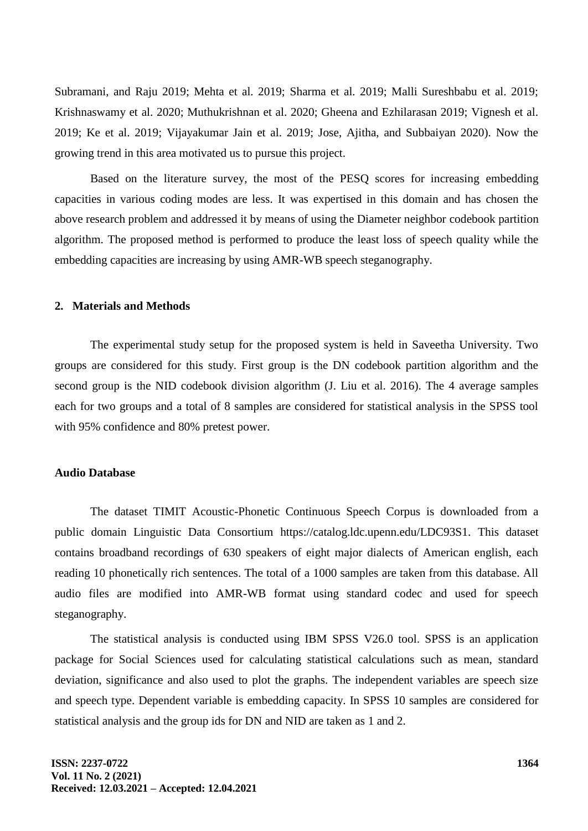Subramani, and Raju 2019; Mehta et al. 2019; Sharma et al. 2019; Malli Sureshbabu et al. 2019; Krishnaswamy et al. 2020; Muthukrishnan et al. 2020; Gheena and Ezhilarasan 2019; Vignesh et al. 2019; Ke et al. 2019; Vijayakumar Jain et al. 2019; Jose, Ajitha, and Subbaiyan 2020). Now the growing trend in this area motivated us to pursue this project.

Based on the literature survey, the most of the PESQ scores for increasing embedding capacities in various coding modes are less. It was expertised in this domain and has chosen the above research problem and addressed it by means of using the Diameter neighbor codebook partition algorithm. The proposed method is performed to produce the least loss of speech quality while the embedding capacities are increasing by using AMR-WB speech steganography.

#### **2. Materials and Methods**

The experimental study setup for the proposed system is held in Saveetha University. Two groups are considered for this study. First group is the DN codebook partition algorithm and the second group is the NID codebook division algorithm (J. Liu et al. 2016). The 4 average samples each for two groups and a total of 8 samples are considered for statistical analysis in the SPSS tool with 95% confidence and 80% pretest power.

## **Audio Database**

The dataset TIMIT Acoustic-Phonetic Continuous Speech Corpus is downloaded from a public domain Linguistic Data Consortium https://catalog.ldc.upenn.edu/LDC93S1. This dataset contains broadband recordings of 630 speakers of eight major dialects of American english, each reading 10 phonetically rich sentences. The total of a 1000 samples are taken from this database. All audio files are modified into AMR-WB format using standard codec and used for speech steganography.

The statistical analysis is conducted using IBM SPSS V26.0 tool. SPSS is an application package for Social Sciences used for calculating statistical calculations such as mean, standard deviation, significance and also used to plot the graphs. The independent variables are speech size and speech type. Dependent variable is embedding capacity. In SPSS 10 samples are considered for statistical analysis and the group ids for DN and NID are taken as 1 and 2.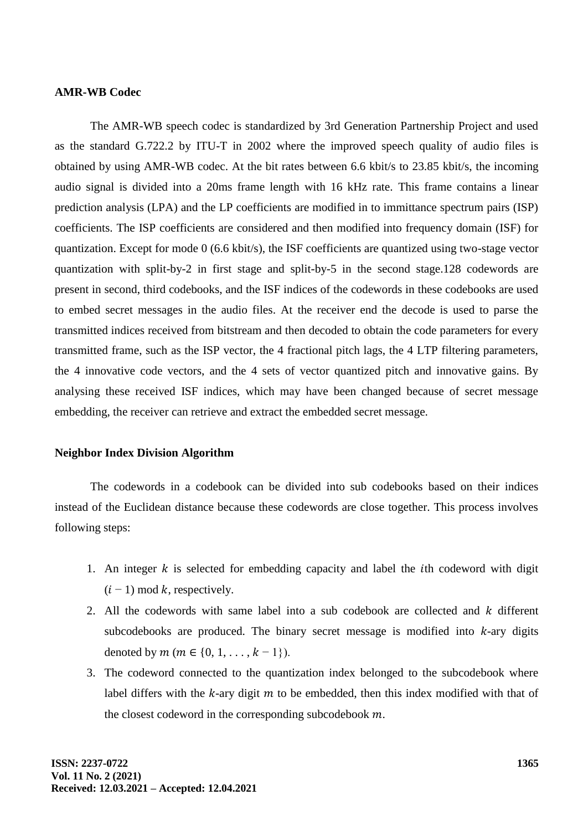## **AMR-WB Codec**

The AMR-WB speech codec is standardized by 3rd Generation Partnership Project and used as the standard G.722.2 by ITU-T in 2002 where the improved speech quality of audio files is obtained by using AMR-WB codec. At the bit rates between 6.6 kbit/s to 23.85 kbit/s, the incoming audio signal is divided into a 20ms frame length with 16 kHz rate. This frame contains a linear prediction analysis (LPA) and the LP coefficients are modified in to immittance spectrum pairs (ISP) coefficients. The ISP coefficients are considered and then modified into frequency domain (ISF) for quantization. Except for mode 0 (6.6 kbit/s), the ISF coefficients are quantized using two-stage vector quantization with split-by-2 in first stage and split-by-5 in the second stage.128 codewords are present in second, third codebooks, and the ISF indices of the codewords in these codebooks are used to embed secret messages in the audio files. At the receiver end the decode is used to parse the transmitted indices received from bitstream and then decoded to obtain the code parameters for every transmitted frame, such as the ISP vector, the 4 fractional pitch lags, the 4 LTP filtering parameters, the 4 innovative code vectors, and the 4 sets of vector quantized pitch and innovative gains. By analysing these received ISF indices, which may have been changed because of secret message embedding, the receiver can retrieve and extract the embedded secret message.

#### **Neighbor Index Division Algorithm**

The codewords in a codebook can be divided into sub codebooks based on their indices instead of the Euclidean distance because these codewords are close together. This process involves following steps:

- 1. An integer  $k$  is selected for embedding capacity and label the *i*th codeword with digit  $(i - 1)$  mod k, respectively.
- 2. All the codewords with same label into a sub codebook are collected and  $k$  different subcodebooks are produced. The binary secret message is modified into  $k$ -ary digits denoted by  $m ( m \in \{0, 1, ..., k-1 \}).$
- 3. The codeword connected to the quantization index belonged to the subcodebook where label differs with the  $k$ -ary digit  $m$  to be embedded, then this index modified with that of the closest codeword in the corresponding subcodebook  $m$ .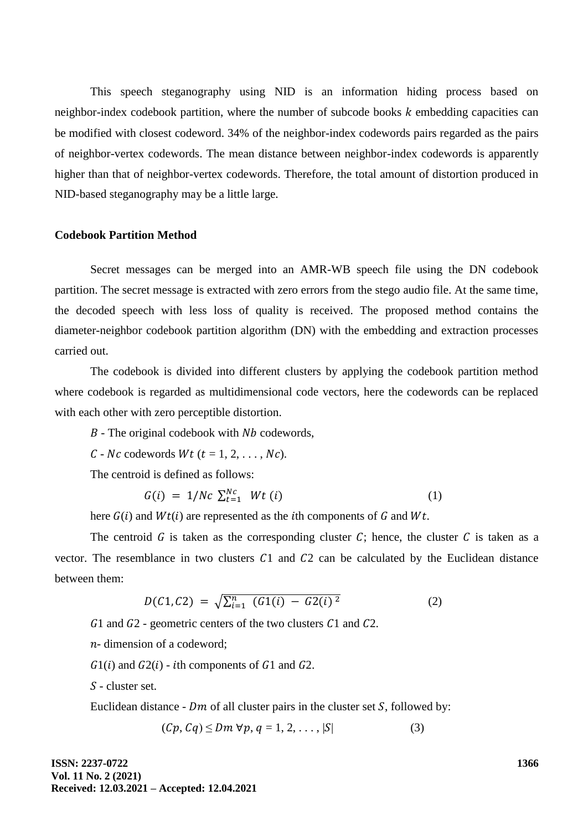This speech steganography using NID is an information hiding process based on neighbor-index codebook partition, where the number of subcode books  $k$  embedding capacities can be modified with closest codeword. 34% of the neighbor-index codewords pairs regarded as the pairs of neighbor-vertex codewords. The mean distance between neighbor-index codewords is apparently higher than that of neighbor-vertex codewords. Therefore, the total amount of distortion produced in NID-based steganography may be a little large.

#### **Codebook Partition Method**

Secret messages can be merged into an AMR-WB speech file using the DN codebook partition. The secret message is extracted with zero errors from the stego audio file. At the same time, the decoded speech with less loss of quality is received. The proposed method contains the diameter-neighbor codebook partition algorithm (DN) with the embedding and extraction processes carried out.

The codebook is divided into different clusters by applying the codebook partition method where codebook is regarded as multidimensional code vectors, here the codewords can be replaced with each other with zero perceptible distortion.

 $B$  - The original codebook with  $Nb$  codewords,

 $C$  -  $Nc$  codewords  $Wt$  ( $t = 1, 2, \ldots, Nc$ ).

The centroid is defined as follows:

$$
G(i) = 1/Nc \sum_{t=1}^{Nc} Wt (i)
$$
 (1)

here  $G(i)$  and  $Wt(i)$  are represented as the *i*th components of G and Wt.

The centroid G is taken as the corresponding cluster C; hence, the cluster C is taken as a vector. The resemblance in two clusters  $C1$  and  $C2$  can be calculated by the Euclidean distance between them:

$$
D(C1, C2) = \sqrt{\sum_{i=1}^{n} (G1(i) - G2(i))^2}
$$
 (2)

61 and 62 - geometric centers of the two clusters  $C1$  and  $C2$ .

 $n-$  dimension of a codeword:

 $G_1(i)$  and  $G_2(i)$  - ith components of G1 and G2.

S - cluster set.

Euclidean distance -  $Dm$  of all cluster pairs in the cluster set  $S$ , followed by:

$$
(Cp, Cq) \leq Dm \,\forall p, q = 1, 2, \dots, |S| \tag{3}
$$

**1366**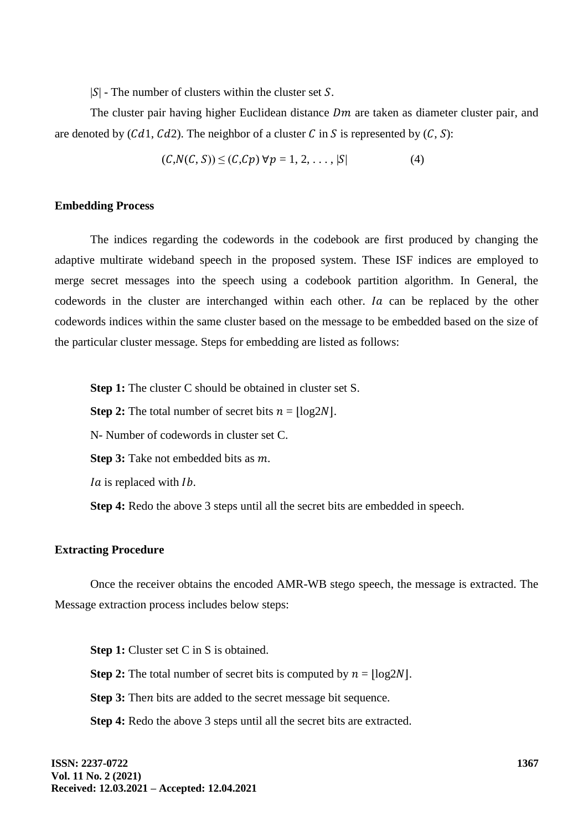$|S|$  - The number of clusters within the cluster set S.

The cluster pair having higher Euclidean distance  $Dm$  are taken as diameter cluster pair, and are denoted by (Cd1, Cd2). The neighbor of a cluster C in S is represented by  $(C, S)$ :

$$
(C, N(C, S)) \le (C, Cp) \ \forall p = 1, 2, ..., |S| \tag{4}
$$

#### **Embedding Process**

The indices regarding the codewords in the codebook are first produced by changing the adaptive multirate wideband speech in the proposed system. These ISF indices are employed to merge secret messages into the speech using a codebook partition algorithm. In General, the codewords in the cluster are interchanged within each other. Ia can be replaced by the other codewords indices within the same cluster based on the message to be embedded based on the size of the particular cluster message. Steps for embedding are listed as follows:

**Step 1:** The cluster C should be obtained in cluster set S.

**Step 2:** The total number of secret bits  $n = \lfloor \log 2N \rfloor$ .

N- Number of codewords in cluster set C.

**Step 3:** Take not embedded bits as m.

 $Ia$  is replaced with  $Ib$ .

**Step 4:** Redo the above 3 steps until all the secret bits are embedded in speech.

#### **Extracting Procedure**

Once the receiver obtains the encoded AMR-WB stego speech, the message is extracted. The Message extraction process includes below steps:

**Step 1:** Cluster set C in S is obtained. **Step 2:** The total number of secret bits is computed by  $n = |log2N|$ . **Step 3:** Then bits are added to the secret message bit sequence. **Step 4:** Redo the above 3 steps until all the secret bits are extracted.

**ISSN: 2237-0722 Vol. 11 No. 2 (2021) Received: 12.03.2021 – Accepted: 12.04.2021**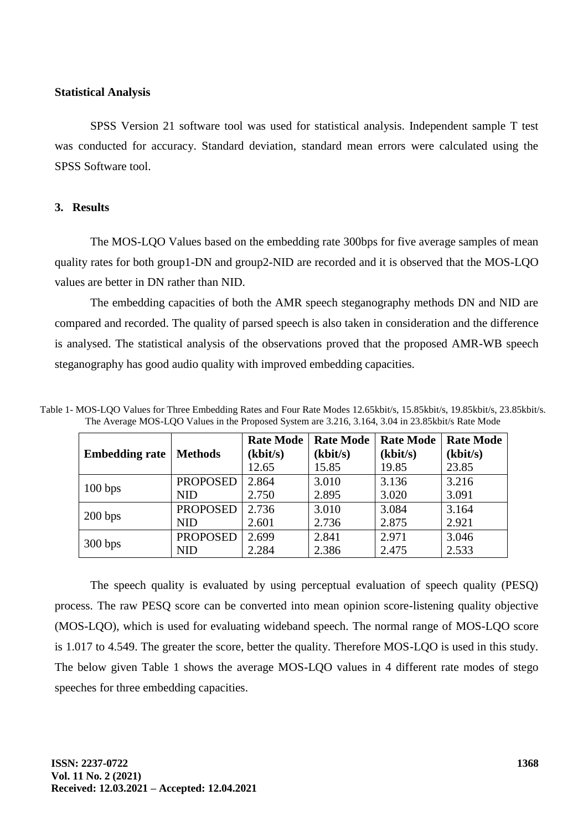### **Statistical Analysis**

SPSS Version 21 software tool was used for statistical analysis. Independent sample T test was conducted for accuracy. Standard deviation, standard mean errors were calculated using the SPSS Software tool.

## **3. Results**

The MOS-LQO Values based on the embedding rate 300bps for five average samples of mean quality rates for both group1-DN and group2-NID are recorded and it is observed that the MOS-LQO values are better in DN rather than NID.

The embedding capacities of both the AMR speech steganography methods DN and NID are compared and recorded. The quality of parsed speech is also taken in consideration and the difference is analysed. The statistical analysis of the observations proved that the proposed AMR-WB speech steganography has good audio quality with improved embedding capacities.

| <b>Embedding rate</b> | <b>Methods</b>  | <b>Rate Mode</b><br>(kbit/s)<br>12.65 | <b>Rate Mode</b><br>(kbit/s)<br>15.85 | <b>Rate Mode</b><br>(kbit/s)<br>19.85 | <b>Rate Mode</b><br>(kbit/s)<br>23.85 |
|-----------------------|-----------------|---------------------------------------|---------------------------------------|---------------------------------------|---------------------------------------|
|                       | <b>PROPOSED</b> | 2.864                                 | 3.010                                 | 3.136                                 | 3.216                                 |
| 100 bps               | NID.            | 2.750                                 | 2.895                                 | 3.020                                 | 3.091                                 |
| 200 bps               | <b>PROPOSED</b> | 2.736                                 | 3.010                                 | 3.084                                 | 3.164                                 |
|                       | NID             | 2.601                                 | 2.736                                 | 2.875                                 | 2.921                                 |
| 300 bps               | <b>PROPOSED</b> | 2.699                                 | 2.841                                 | 2.971                                 | 3.046                                 |
|                       | <b>NID</b>      | 2.284                                 | 2.386                                 | 2.475                                 | 2.533                                 |

Table 1- MOS-LQO Values for Three Embedding Rates and Four Rate Modes 12.65kbit/s, 15.85kbit/s, 19.85kbit/s, 23.85kbit/s. The Average MOS-LQO Values in the Proposed System are 3.216, 3.164, 3.04 in 23.85kbit/s Rate Mode

The speech quality is evaluated by using perceptual evaluation of speech quality (PESQ) process. The raw PESQ score can be converted into mean opinion score-listening quality objective (MOS-LQO), which is used for evaluating wideband speech. The normal range of MOS-LQO score is 1.017 to 4.549. The greater the score, better the quality. Therefore MOS-LQO is used in this study. The below given Table 1 shows the average MOS-LQO values in 4 different rate modes of stego speeches for three embedding capacities.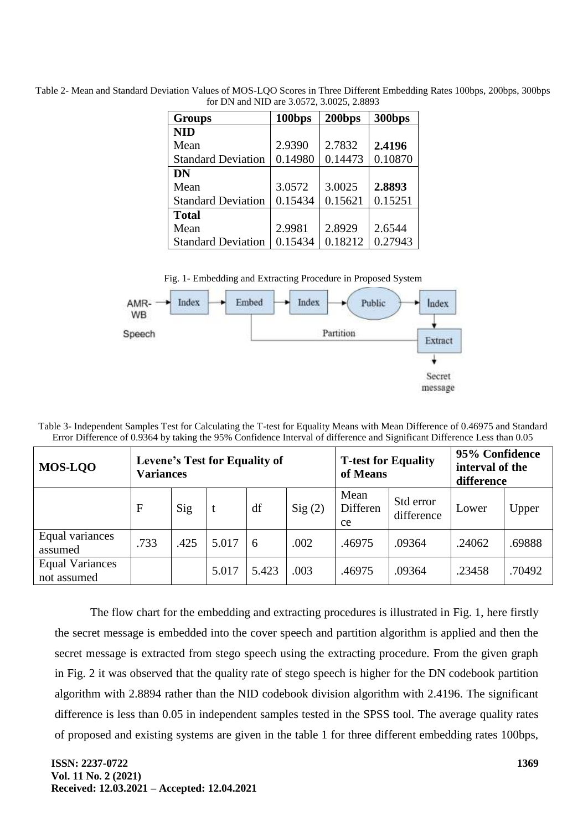| <b>Groups</b>             | 100bps  | 200bps  | 300bps  |  |
|---------------------------|---------|---------|---------|--|
| <b>NID</b>                |         |         |         |  |
| Mean                      | 2.9390  | 2.7832  | 2.4196  |  |
| <b>Standard Deviation</b> | 0.14980 | 0.14473 | 0.10870 |  |
| <b>DN</b>                 |         |         |         |  |
| Mean                      | 3.0572  | 3.0025  | 2.8893  |  |
| <b>Standard Deviation</b> | 0.15434 | 0.15621 | 0.15251 |  |
| <b>Total</b>              |         |         |         |  |
| Mean                      | 2.9981  | 2.8929  | 2.6544  |  |
| <b>Standard Deviation</b> | 0.15434 | 0.18212 | 0.27943 |  |

Table 2- Mean and Standard Deviation Values of MOS-LQO Scores in Three Different Embedding Rates 100bps, 200bps, 300bps for DN and NID are 3.0572, 3.0025, 2.8893

Fig. 1- Embedding and Extracting Procedure in Proposed System



Table 3- Independent Samples Test for Calculating the T-test for Equality Means with Mean Difference of 0.46975 and Standard Error Difference of 0.9364 by taking the 95% Confidence Interval of difference and Significant Difference Less than 0.05

| <b>MOS-LQO</b>                        | <b>Levene's Test for Equality of</b><br>Variances |      |       |       | <b>T-test for Equality</b><br>of Means |                         | 95% Confidence<br>interval of the<br>difference |        |        |
|---------------------------------------|---------------------------------------------------|------|-------|-------|----------------------------------------|-------------------------|-------------------------------------------------|--------|--------|
|                                       | $\mathbf{F}$                                      | Sig  | t     | df    | Sig(2)                                 | Mean<br>Differen<br>ce. | Std error<br>difference                         | Lower  | Upper  |
| Equal variances<br>assumed            | .733                                              | .425 | 5.017 | 6     | .002                                   | .46975                  | .09364                                          | .24062 | .69888 |
| <b>Equal Variances</b><br>not assumed |                                                   |      | 5.017 | 5.423 | .003                                   | .46975                  | .09364                                          | .23458 | .70492 |

The flow chart for the embedding and extracting procedures is illustrated in Fig. 1, here firstly the secret message is embedded into the cover speech and partition algorithm is applied and then the secret message is extracted from stego speech using the extracting procedure. From the given graph in Fig. 2 it was observed that the quality rate of stego speech is higher for the DN codebook partition algorithm with 2.8894 rather than the NID codebook division algorithm with 2.4196. The significant difference is less than 0.05 in independent samples tested in the SPSS tool. The average quality rates of proposed and existing systems are given in the table 1 for three different embedding rates 100bps,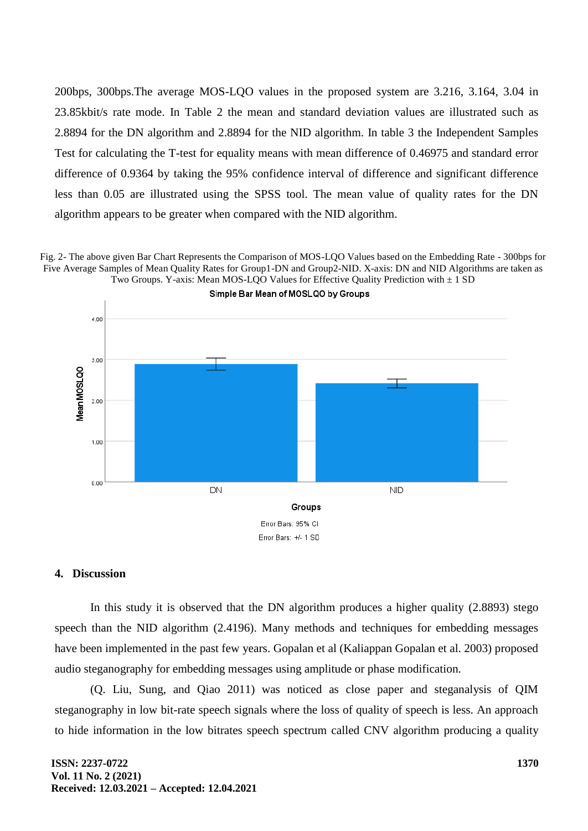200bps, 300bps.The average MOS-LQO values in the proposed system are 3.216, 3.164, 3.04 in 23.85kbit/s rate mode. In Table 2 the mean and standard deviation values are illustrated such as 2.8894 for the DN algorithm and 2.8894 for the NID algorithm. In table 3 the Independent Samples Test for calculating the T-test for equality means with mean difference of 0.46975 and standard error difference of 0.9364 by taking the 95% confidence interval of difference and significant difference less than 0.05 are illustrated using the SPSS tool. The mean value of quality rates for the DN algorithm appears to be greater when compared with the NID algorithm.

Fig. 2- The above given Bar Chart Represents the Comparison of MOS-LQO Values based on the Embedding Rate - 300bps for Five Average Samples of Mean Quality Rates for Group1-DN and Group2-NID. X-axis: DN and NID Algorithms are taken as Two Groups. Y-axis: Mean MOS-LOO Values for Effective Quality Prediction with  $\pm 1$  SD



#### **4. Discussion**

In this study it is observed that the DN algorithm produces a higher quality (2.8893) stego speech than the NID algorithm (2.4196). Many methods and techniques for embedding messages have been implemented in the past few years. Gopalan et al (Kaliappan Gopalan et al. 2003) proposed audio steganography for embedding messages using amplitude or phase modification.

(Q. Liu, Sung, and Qiao 2011) was noticed as close paper and steganalysis of QIM steganography in low bit-rate speech signals where the loss of quality of speech is less. An approach to hide information in the low bitrates speech spectrum called CNV algorithm producing a quality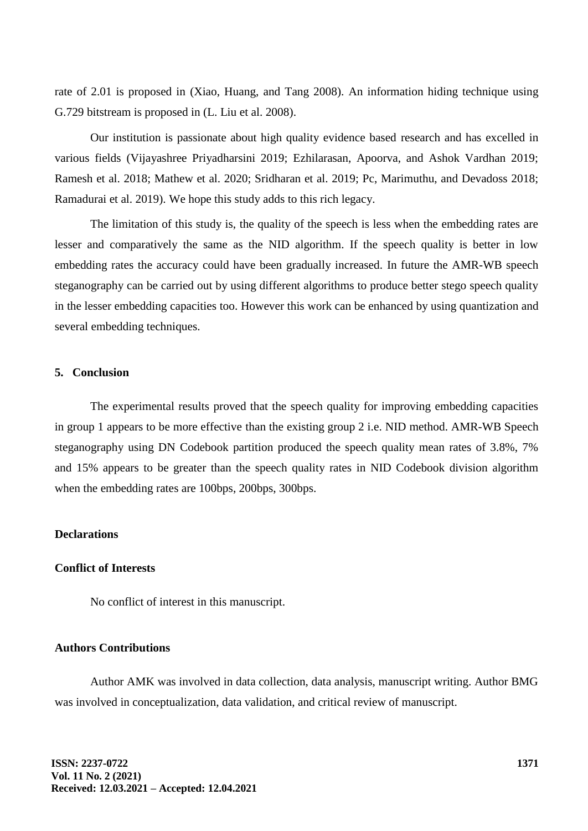rate of 2.01 is proposed in (Xiao, Huang, and Tang 2008). An information hiding technique using G.729 bitstream is proposed in (L. Liu et al. 2008).

Our institution is passionate about high quality evidence based research and has excelled in various fields (Vijayashree Priyadharsini 2019; Ezhilarasan, Apoorva, and Ashok Vardhan 2019; Ramesh et al. 2018; Mathew et al. 2020; Sridharan et al. 2019; Pc, Marimuthu, and Devadoss 2018; Ramadurai et al. 2019). We hope this study adds to this rich legacy.

The limitation of this study is, the quality of the speech is less when the embedding rates are lesser and comparatively the same as the NID algorithm. If the speech quality is better in low embedding rates the accuracy could have been gradually increased. In future the AMR-WB speech steganography can be carried out by using different algorithms to produce better stego speech quality in the lesser embedding capacities too. However this work can be enhanced by using quantization and several embedding techniques.

## **5. Conclusion**

The experimental results proved that the speech quality for improving embedding capacities in group 1 appears to be more effective than the existing group 2 i.e. NID method. AMR-WB Speech steganography using DN Codebook partition produced the speech quality mean rates of 3.8%, 7% and 15% appears to be greater than the speech quality rates in NID Codebook division algorithm when the embedding rates are 100bps, 200bps, 300bps.

## **Declarations**

## **Conflict of Interests**

No conflict of interest in this manuscript.

### **Authors Contributions**

Author AMK was involved in data collection, data analysis, manuscript writing. Author BMG was involved in conceptualization, data validation, and critical review of manuscript.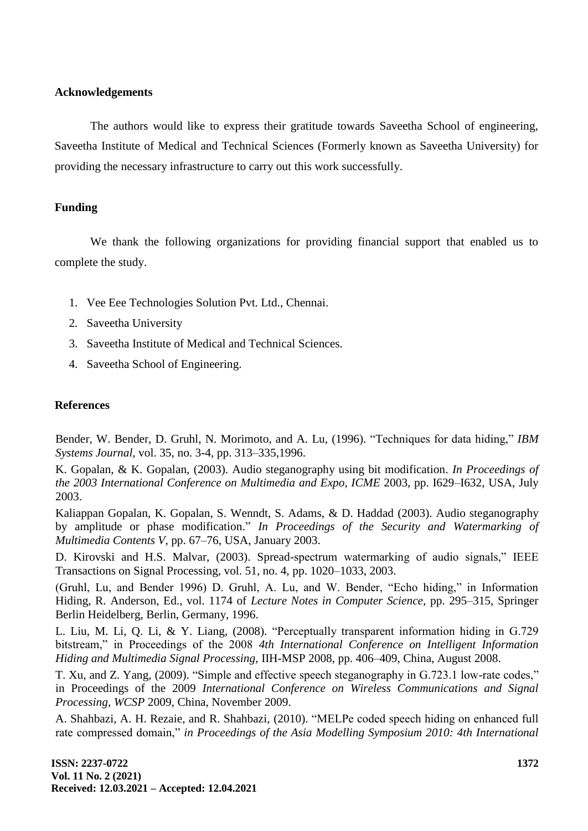# **Acknowledgements**

The authors would like to express their gratitude towards Saveetha School of engineering, Saveetha Institute of Medical and Technical Sciences (Formerly known as Saveetha University) for providing the necessary infrastructure to carry out this work successfully.

# **Funding**

We thank the following organizations for providing financial support that enabled us to complete the study.

- 1. Vee Eee Technologies Solution Pvt. Ltd., Chennai.
- 2. Saveetha University
- 3. Saveetha Institute of Medical and Technical Sciences.
- 4. Saveetha School of Engineering.

# **References**

Bender, W. Bender, D. Gruhl, N. Morimoto, and A. Lu, (1996). "Techniques for data hiding," *IBM Systems Journal,* vol. 35, no. 3-4, pp. 313–335,1996.

K. Gopalan, & K. Gopalan, (2003). Audio steganography using bit modification. *In Proceedings of the 2003 International Conference on Multimedia and Expo, ICME* 2003, pp. I629–I632, USA, July 2003.

Kaliappan Gopalan, K. Gopalan, S. Wenndt, S. Adams, & D. Haddad (2003). Audio steganography by amplitude or phase modification." *In Proceedings of the Security and Watermarking of Multimedia Contents V*, pp. 67–76, USA, January 2003.

D. Kirovski and H.S. Malvar, (2003). Spread-spectrum watermarking of audio signals," IEEE Transactions on Signal Processing, vol. 51, no. 4, pp. 1020–1033, 2003.

(Gruhl, Lu, and Bender 1996) D. Gruhl, A. Lu, and W. Bender, "Echo hiding," in Information Hiding, R. Anderson, Ed., vol. 1174 of *Lecture Notes in Computer Science,* pp. 295–315, Springer Berlin Heidelberg, Berlin, Germany, 1996.

L. Liu, M. Li, Q. Li, & Y. Liang, (2008). "Perceptually transparent information hiding in G.729 bitstream," in Proceedings of the 2008 *4th International Conference on Intelligent Information Hiding and Multimedia Signal Processing,* IIH-MSP 2008, pp. 406–409, China, August 2008.

T. Xu, and Z. Yang, (2009). "Simple and effective speech steganography in G.723.1 low-rate codes," in Proceedings of the 2009 *International Conference on Wireless Communications and Signal Processing, WCSP* 2009, China, November 2009.

A. Shahbazi, A. H. Rezaie, and R. Shahbazi, (2010). "MELPe coded speech hiding on enhanced full rate compressed domain," *in Proceedings of the Asia Modelling Symposium 2010: 4th International*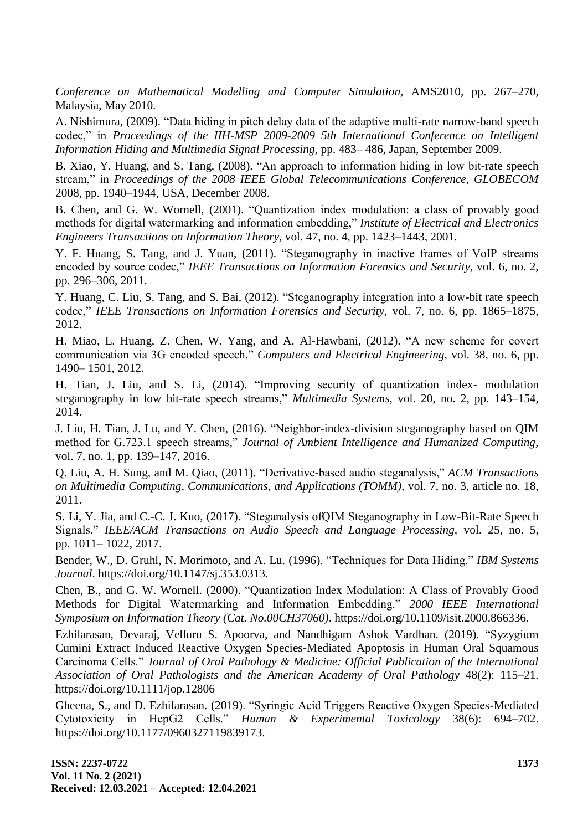*Conference on Mathematical Modelling and Computer Simulation,* AMS2010, pp. 267–270, Malaysia, May 2010.

A. Nishimura, (2009). "Data hiding in pitch delay data of the adaptive multi-rate narrow-band speech codec," in *Proceedings of the IIH-MSP 2009-2009 5th International Conference on Intelligent Information Hiding and Multimedia Signal Processing,* pp. 483– 486, Japan, September 2009.

B. Xiao, Y. Huang, and S. Tang, (2008). "An approach to information hiding in low bit-rate speech stream," in *Proceedings of the 2008 IEEE Global Telecommunications Conference, GLOBECOM* 2008, pp. 1940–1944, USA, December 2008.

B. Chen, and G. W. Wornell, (2001). "Quantization index modulation: a class of provably good methods for digital watermarking and information embedding," *Institute of Electrical and Electronics Engineers Transactions on Information Theory,* vol. 47, no. 4, pp. 1423–1443, 2001.

Y. F. Huang, S. Tang, and J. Yuan, (2011). "Steganography in inactive frames of VoIP streams encoded by source codec," *IEEE Transactions on Information Forensics and Security,* vol. 6, no. 2, pp. 296–306, 2011.

Y. Huang, C. Liu, S. Tang, and S. Bai, (2012). "Steganography integration into a low-bit rate speech codec," *IEEE Transactions on Information Forensics and Security,* vol. 7, no. 6, pp. 1865–1875, 2012.

H. Miao, L. Huang, Z. Chen, W. Yang, and A. Al-Hawbani, (2012). "A new scheme for covert communication via 3G encoded speech," *Computers and Electrical Engineering,* vol. 38, no. 6, pp. 1490– 1501, 2012.

H. Tian, J. Liu, and S. Li, (2014). "Improving security of quantization index- modulation steganography in low bit-rate speech streams," *Multimedia Systems,* vol. 20, no. 2, pp. 143–154, 2014.

J. Liu, H. Tian, J. Lu, and Y. Chen, (2016). "Neighbor-index-division steganography based on QIM method for G.723.1 speech streams," *Journal of Ambient Intelligence and Humanized Computing,* vol. 7, no. 1, pp. 139–147, 2016.

Q. Liu, A. H. Sung, and M. Qiao, (2011). "Derivative-based audio steganalysis," *ACM Transactions on Multimedia Computing, Communications, and Applications (TOMM),* vol. 7, no. 3, article no. 18, 2011.

S. Li, Y. Jia, and C.-C. J. Kuo, (2017). "Steganalysis ofQIM Steganography in Low-Bit-Rate Speech Signals," *IEEE/ACM Transactions on Audio Speech and Language Processing,* vol. 25, no. 5, pp. 1011– 1022, 2017.

Bender, W., D. Gruhl, N. Morimoto, and A. Lu. (1996). "Techniques for Data Hiding." *IBM Systems Journal*. https://doi.org/10.1147/sj.353.0313.

Chen, B., and G. W. Wornell. (2000). "Quantization Index Modulation: A Class of Provably Good Methods for Digital Watermarking and Information Embedding." *2000 IEEE International Symposium on Information Theory (Cat. No.00CH37060)*. https://doi.org/10.1109/isit.2000.866336.

Ezhilarasan, Devaraj, Velluru S. Apoorva, and Nandhigam Ashok Vardhan. (2019). "Syzygium Cumini Extract Induced Reactive Oxygen Species-Mediated Apoptosis in Human Oral Squamous Carcinoma Cells." *Journal of Oral Pathology & Medicine: Official Publication of the International Association of Oral Pathologists and the American Academy of Oral Pathology* 48(2): 115–21. https://doi.org/10.1111/jop.12806

Gheena, S., and D. Ezhilarasan. (2019). "Syringic Acid Triggers Reactive Oxygen Species-Mediated Cytotoxicity in HepG2 Cells." *Human & Experimental Toxicology* 38(6): 694–702. https://doi.org/10.1177/0960327119839173.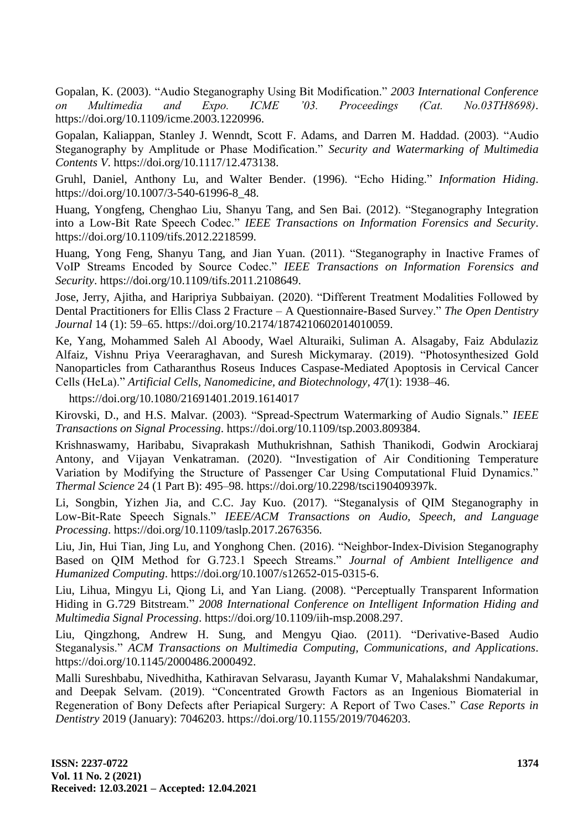Gopalan, K. (2003). "Audio Steganography Using Bit Modification." *2003 International Conference on Multimedia and Expo. ICME '03. Proceedings (Cat. No.03TH8698)*. https://doi.org/10.1109/icme.2003.1220996.

Gopalan, Kaliappan, Stanley J. Wenndt, Scott F. Adams, and Darren M. Haddad. (2003). "Audio Steganography by Amplitude or Phase Modification." *Security and Watermarking of Multimedia Contents V*. https://doi.org/10.1117/12.473138.

Gruhl, Daniel, Anthony Lu, and Walter Bender. (1996). "Echo Hiding." *Information Hiding*. https://doi.org/10.1007/3-540-61996-8\_48.

Huang, Yongfeng, Chenghao Liu, Shanyu Tang, and Sen Bai. (2012). "Steganography Integration into a Low-Bit Rate Speech Codec." *IEEE Transactions on Information Forensics and Security*. https://doi.org/10.1109/tifs.2012.2218599.

Huang, Yong Feng, Shanyu Tang, and Jian Yuan. (2011). "Steganography in Inactive Frames of VoIP Streams Encoded by Source Codec." *IEEE Transactions on Information Forensics and Security*. https://doi.org/10.1109/tifs.2011.2108649.

Jose, Jerry, Ajitha, and Haripriya Subbaiyan. (2020). "Different Treatment Modalities Followed by Dental Practitioners for Ellis Class 2 Fracture – A Questionnaire-Based Survey." *The Open Dentistry Journal* 14 (1): 59–65. https://doi.org/10.2174/1874210602014010059.

Ke, Yang, Mohammed Saleh Al Aboody, Wael Alturaiki, Suliman A. Alsagaby, Faiz Abdulaziz Alfaiz, Vishnu Priya Veeraraghavan, and Suresh Mickymaray. (2019). "Photosynthesized Gold Nanoparticles from Catharanthus Roseus Induces Caspase-Mediated Apoptosis in Cervical Cancer Cells (HeLa)." *Artificial Cells, Nanomedicine, and Biotechnology, 47*(1): 1938–46.

https://doi.org/10.1080/21691401.2019.1614017

Kirovski, D., and H.S. Malvar. (2003). "Spread-Spectrum Watermarking of Audio Signals." *IEEE Transactions on Signal Processing*. https://doi.org/10.1109/tsp.2003.809384.

Krishnaswamy, Haribabu, Sivaprakash Muthukrishnan, Sathish Thanikodi, Godwin Arockiaraj Antony, and Vijayan Venkatraman. (2020). "Investigation of Air Conditioning Temperature Variation by Modifying the Structure of Passenger Car Using Computational Fluid Dynamics." *Thermal Science* 24 (1 Part B): 495–98. https://doi.org/10.2298/tsci190409397k.

Li, Songbin, Yizhen Jia, and C.C. Jay Kuo. (2017). "Steganalysis of QIM Steganography in Low-Bit-Rate Speech Signals." *IEEE/ACM Transactions on Audio, Speech, and Language Processing*. https://doi.org/10.1109/taslp.2017.2676356.

Liu, Jin, Hui Tian, Jing Lu, and Yonghong Chen. (2016). "Neighbor-Index-Division Steganography Based on QIM Method for G.723.1 Speech Streams." *Journal of Ambient Intelligence and Humanized Computing*. https://doi.org/10.1007/s12652-015-0315-6.

Liu, Lihua, Mingyu Li, Qiong Li, and Yan Liang. (2008). "Perceptually Transparent Information Hiding in G.729 Bitstream." *2008 International Conference on Intelligent Information Hiding and Multimedia Signal Processing*. https://doi.org/10.1109/iih-msp.2008.297.

Liu, Qingzhong, Andrew H. Sung, and Mengyu Qiao. (2011). "Derivative-Based Audio Steganalysis." *ACM Transactions on Multimedia Computing, Communications, and Applications*. https://doi.org/10.1145/2000486.2000492.

Malli Sureshbabu, Nivedhitha, Kathiravan Selvarasu, Jayanth Kumar V, Mahalakshmi Nandakumar, and Deepak Selvam. (2019). "Concentrated Growth Factors as an Ingenious Biomaterial in Regeneration of Bony Defects after Periapical Surgery: A Report of Two Cases." *Case Reports in Dentistry* 2019 (January): 7046203. https://doi.org/10.1155/2019/7046203.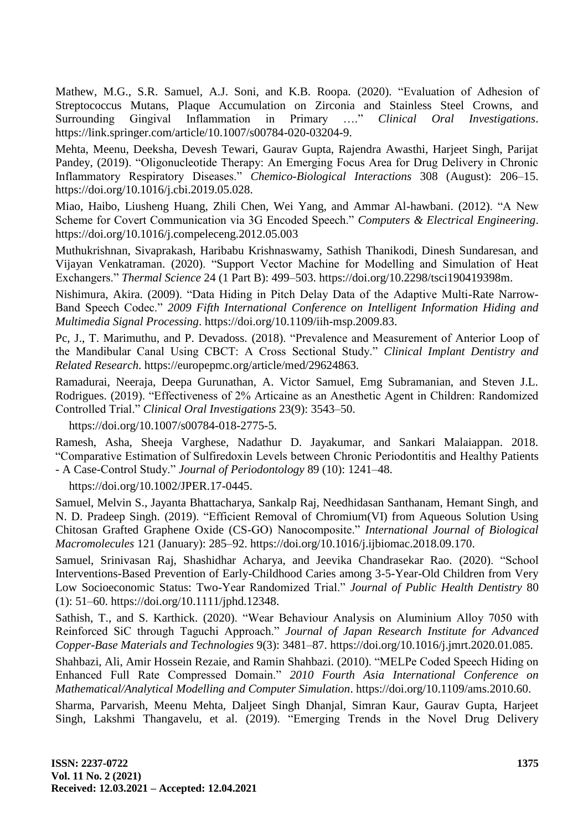Mathew, M.G., S.R. Samuel, A.J. Soni, and K.B. Roopa. (2020). "Evaluation of Adhesion of Streptococcus Mutans, Plaque Accumulation on Zirconia and Stainless Steel Crowns, and Surrounding Gingival Inflammation in Primary …." *Clinical Oral Investigations*. https://link.springer.com/article/10.1007/s00784-020-03204-9.

Mehta, Meenu, Deeksha, Devesh Tewari, Gaurav Gupta, Rajendra Awasthi, Harjeet Singh, Parijat Pandey, (2019). "Oligonucleotide Therapy: An Emerging Focus Area for Drug Delivery in Chronic Inflammatory Respiratory Diseases." *Chemico-Biological Interactions* 308 (August): 206–15. https://doi.org/10.1016/j.cbi.2019.05.028.

Miao, Haibo, Liusheng Huang, Zhili Chen, Wei Yang, and Ammar Al-hawbani. (2012). "A New Scheme for Covert Communication via 3G Encoded Speech." *Computers & Electrical Engineering*. https://doi.org/10.1016/j.compeleceng.2012.05.003

Muthukrishnan, Sivaprakash, Haribabu Krishnaswamy, Sathish Thanikodi, Dinesh Sundaresan, and Vijayan Venkatraman. (2020). "Support Vector Machine for Modelling and Simulation of Heat Exchangers." *Thermal Science* 24 (1 Part B): 499–503. https://doi.org/10.2298/tsci190419398m.

Nishimura, Akira. (2009). "Data Hiding in Pitch Delay Data of the Adaptive Multi-Rate Narrow-Band Speech Codec." *2009 Fifth International Conference on Intelligent Information Hiding and Multimedia Signal Processing*. https://doi.org/10.1109/iih-msp.2009.83.

Pc, J., T. Marimuthu, and P. Devadoss. (2018). "Prevalence and Measurement of Anterior Loop of the Mandibular Canal Using CBCT: A Cross Sectional Study." *Clinical Implant Dentistry and Related Research*. https://europepmc.org/article/med/29624863.

Ramadurai, Neeraja, Deepa Gurunathan, A. Victor Samuel, Emg Subramanian, and Steven J.L. Rodrigues. (2019). "Effectiveness of 2% Articaine as an Anesthetic Agent in Children: Randomized Controlled Trial." *Clinical Oral Investigations* 23(9): 3543–50.

https://doi.org/10.1007/s00784-018-2775-5.

Ramesh, Asha, Sheeja Varghese, Nadathur D. Jayakumar, and Sankari Malaiappan. 2018. "Comparative Estimation of Sulfiredoxin Levels between Chronic Periodontitis and Healthy Patients - A Case-Control Study." *Journal of Periodontology* 89 (10): 1241–48.

https://doi.org/10.1002/JPER.17-0445.

Samuel, Melvin S., Jayanta Bhattacharya, Sankalp Raj, Needhidasan Santhanam, Hemant Singh, and N. D. Pradeep Singh. (2019). "Efficient Removal of Chromium(VI) from Aqueous Solution Using Chitosan Grafted Graphene Oxide (CS-GO) Nanocomposite." *International Journal of Biological Macromolecules* 121 (January): 285–92. https://doi.org/10.1016/j.ijbiomac.2018.09.170.

Samuel, Srinivasan Raj, Shashidhar Acharya, and Jeevika Chandrasekar Rao. (2020). "School Interventions-Based Prevention of Early-Childhood Caries among 3-5-Year-Old Children from Very Low Socioeconomic Status: Two-Year Randomized Trial." *Journal of Public Health Dentistry* 80 (1): 51–60. https://doi.org/10.1111/jphd.12348.

Sathish, T., and S. Karthick. (2020). "Wear Behaviour Analysis on Aluminium Alloy 7050 with Reinforced SiC through Taguchi Approach." *Journal of Japan Research Institute for Advanced Copper-Base Materials and Technologies* 9(3): 3481–87. https://doi.org/10.1016/j.jmrt.2020.01.085.

Shahbazi, Ali, Amir Hossein Rezaie, and Ramin Shahbazi. (2010). "MELPe Coded Speech Hiding on Enhanced Full Rate Compressed Domain." *2010 Fourth Asia International Conference on Mathematical/Analytical Modelling and Computer Simulation*. https://doi.org/10.1109/ams.2010.60.

Sharma, Parvarish, Meenu Mehta, Daljeet Singh Dhanjal, Simran Kaur, Gaurav Gupta, Harjeet Singh, Lakshmi Thangavelu, et al. (2019). "Emerging Trends in the Novel Drug Delivery